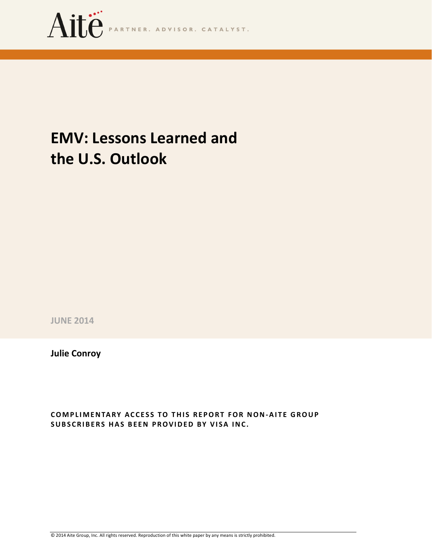

# EMV: Lessons Learned and the U.S. Outlook

JUNE 2014

Julie Conroy

COMPLIMENTARY ACCESS TO THIS REPORT FOR NON-AITE GROUP SUBSCRIBERS HAS BEEN PROVIDED BY VISA INC.

© 2014 Aite Group, Inc. All rights reserved. Reproduction of this white paper by any means is strictly prohibited.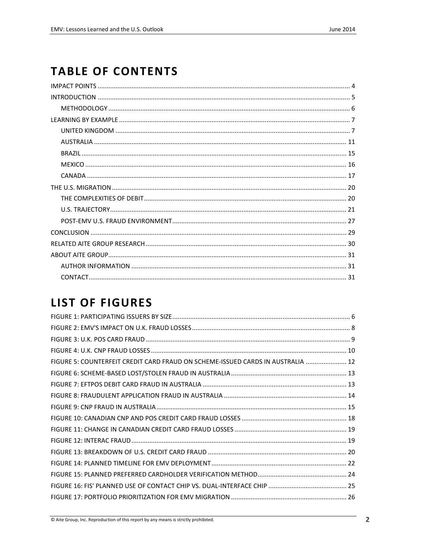## **TABLE OF CONTENTS**

## **LIST OF FIGURES**

| FIGURE 5: COUNTERFEIT CREDIT CARD FRAUD ON SCHEME-ISSUED CARDS IN AUSTRALIA  12 |  |
|---------------------------------------------------------------------------------|--|
|                                                                                 |  |
|                                                                                 |  |
|                                                                                 |  |
|                                                                                 |  |
|                                                                                 |  |
|                                                                                 |  |
|                                                                                 |  |
|                                                                                 |  |
|                                                                                 |  |
|                                                                                 |  |
|                                                                                 |  |
|                                                                                 |  |
|                                                                                 |  |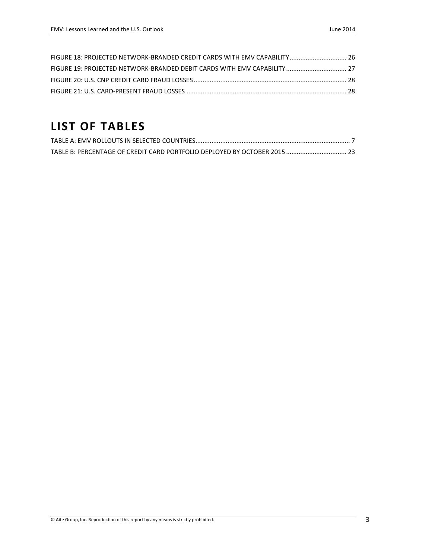| FIGURE 18: PROJECTED NETWORK-BRANDED CREDIT CARDS WITH EMV CAPABILITY 26 |  |
|--------------------------------------------------------------------------|--|
|                                                                          |  |
|                                                                          |  |
|                                                                          |  |

## LIST OF TABLES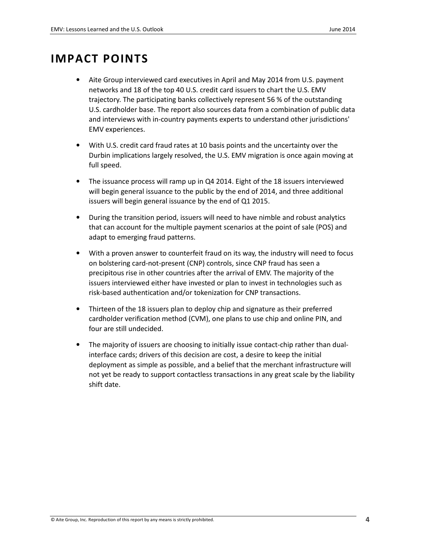## IMPACT POINTS

- Aite Group interviewed card executives in April and May 2014 from U.S. payment networks and 18 of the top 40 U.S. credit card issuers to chart the U.S. EMV trajectory. The participating banks collectively represent 56 % of the outstanding U.S. cardholder base. The report also sources data from a combination of public data and interviews with in-country payments experts to understand other jurisdictions' EMV experiences.
- With U.S. credit card fraud rates at 10 basis points and the uncertainty over the Durbin implications largely resolved, the U.S. EMV migration is once again moving at full speed.
- The issuance process will ramp up in Q4 2014. Eight of the 18 issuers interviewed will begin general issuance to the public by the end of 2014, and three additional issuers will begin general issuance by the end of Q1 2015.
- During the transition period, issuers will need to have nimble and robust analytics that can account for the multiple payment scenarios at the point of sale (POS) and adapt to emerging fraud patterns.
- With a proven answer to counterfeit fraud on its way, the industry will need to focus on bolstering card-not-present (CNP) controls, since CNP fraud has seen a precipitous rise in other countries after the arrival of EMV. The majority of the issuers interviewed either have invested or plan to invest in technologies such as risk-based authentication and/or tokenization for CNP transactions.
- Thirteen of the 18 issuers plan to deploy chip and signature as their preferred cardholder verification method (CVM), one plans to use chip and online PIN, and four are still undecided.
- The majority of issuers are choosing to initially issue contact-chip rather than dualinterface cards; drivers of this decision are cost, a desire to keep the initial deployment as simple as possible, and a belief that the merchant infrastructure will not yet be ready to support contactless transactions in any great scale by the liability shift date.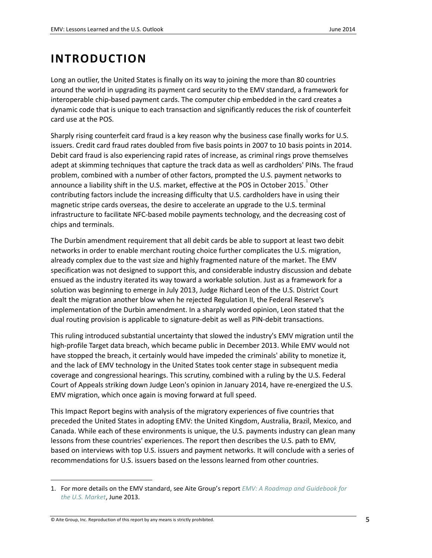## INTRODUCTION

Long an outlier, the United States is finally on its way to joining the more than 80 countries around the world in upgrading its payment card security to the EMV standard, a framework for interoperable chip-based payment cards. The computer chip embedded in the card creates a dynamic code that is unique to each transaction and significantly reduces the risk of counterfeit card use at the POS.

Sharply rising counterfeit card fraud is a key reason why the business case finally works for U.S. issuers. Credit card fraud rates doubled from five basis points in 2007 to 10 basis points in 2014. Debit card fraud is also experiencing rapid rates of increase, as criminal rings prove themselves adept at skimming techniques that capture the track data as well as cardholders' PINs. The fraud problem, combined with a number of other factors, prompted the U.S. payment networks to announce a liability shift in the U.S. market, effective at the POS in October 2015.<sup>1</sup> Other contributing factors include the increasing difficulty that U.S. cardholders have in using their magnetic stripe cards overseas, the desire to accelerate an upgrade to the U.S. terminal infrastructure to facilitate NFC-based mobile payments technology, and the decreasing cost of chips and terminals.

The Durbin amendment requirement that all debit cards be able to support at least two debit networks in order to enable merchant routing choice further complicates the U.S. migration, already complex due to the vast size and highly fragmented nature of the market. The EMV specification was not designed to support this, and considerable industry discussion and debate ensued as the industry iterated its way toward a workable solution. Just as a framework for a solution was beginning to emerge in July 2013, Judge Richard Leon of the U.S. District Court dealt the migration another blow when he rejected Regulation II, the Federal Reserve's implementation of the Durbin amendment. In a sharply worded opinion, Leon stated that the dual routing provision is applicable to signature-debit as well as PIN-debit transactions.

This ruling introduced substantial uncertainty that slowed the industry's EMV migration until the high-profile Target data breach, which became public in December 2013. While EMV would not have stopped the breach, it certainly would have impeded the criminals' ability to monetize it, and the lack of EMV technology in the United States took center stage in subsequent media coverage and congressional hearings. This scrutiny, combined with a ruling by the U.S. Federal Court of Appeals striking down Judge Leon's opinion in January 2014, have re-energized the U.S. EMV migration, which once again is moving forward at full speed.

This Impact Report begins with analysis of the migratory experiences of five countries that preceded the United States in adopting EMV: the United Kingdom, Australia, Brazil, Mexico, and Canada. While each of these environments is unique, the U.S. payments industry can glean many lessons from these countries' experiences. The report then describes the U.S. path to EMV, based on interviews with top U.S. issuers and payment networks. It will conclude with a series of recommendations for U.S. issuers based on the lessons learned from other countries.

© Aite Group, Inc. Reproduction of this report by any means is strictly prohibited. 5

 $\overline{a}$ 

<sup>1.</sup> For more details on the EMV standard, see Aite Group's report EMV: A Roadmap and Guidebook for the U.S. Market, June 2013.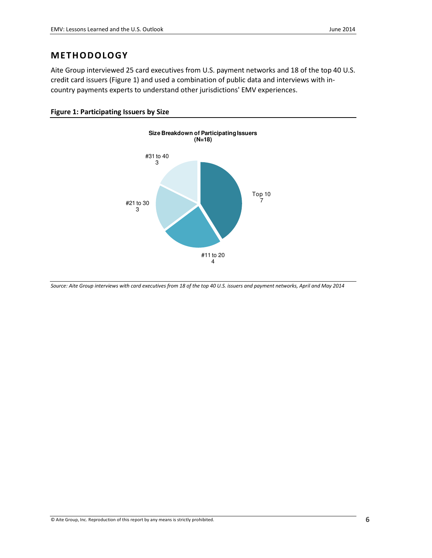### **METHODOLOGY**

Aite Group interviewed 25 card executives from U.S. payment networks and 18 of the top 40 U.S. credit card issuers (Figure 1) and used a combination of public data and interviews with incountry payments experts to understand other jurisdictions' EMV experiences.

#### Figure 1: Participating Issuers by Size



Source: Aite Group interviews with card executives from 18 of the top 40 U.S. issuers and payment networks, April and May 2014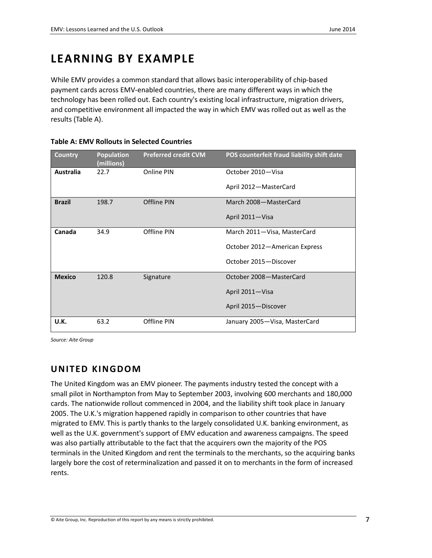## LEARNING BY EXAMPLE

While EMV provides a common standard that allows basic interoperability of chip-based payment cards across EMV-enabled countries, there are many different ways in which the technology has been rolled out. Each country's existing local infrastructure, migration drivers, and competitive environment all impacted the way in which EMV was rolled out as well as the results (Table A).

| <b>Country</b>   | <b>Population</b><br>(millions) | <b>Preferred credit CVM</b> | POS counterfeit fraud liability shift date |
|------------------|---------------------------------|-----------------------------|--------------------------------------------|
| <b>Australia</b> | 22.7                            | Online PIN                  | October 2010-Visa                          |
|                  |                                 |                             | April 2012-MasterCard                      |
| <b>Brazil</b>    | 198.7                           | Offline PIN                 | March 2008-MasterCard                      |
|                  |                                 |                             | April 2011-Visa                            |
| Canada           | 34.9                            | Offline PIN                 | March 2011-Visa, MasterCard                |
|                  |                                 |                             | October 2012-American Express              |
|                  |                                 |                             | October 2015-Discover                      |
| <b>Mexico</b>    | 120.8                           | Signature                   | October 2008-MasterCard                    |
|                  |                                 |                             | April 2011-Visa                            |
|                  |                                 |                             | April 2015-Discover                        |
| U.K.             | 63.2                            | Offline PIN                 | January 2005 – Visa, MasterCard            |

| Table A: EMV Rollouts in Selected Countries |  |  |  |
|---------------------------------------------|--|--|--|
|---------------------------------------------|--|--|--|

Source: Aite Group

### UNITED KINGDOM

The United Kingdom was an EMV pioneer. The payments industry tested the concept with a small pilot in Northampton from May to September 2003, involving 600 merchants and 180,000 cards. The nationwide rollout commenced in 2004, and the liability shift took place in January 2005. The U.K.'s migration happened rapidly in comparison to other countries that have migrated to EMV. This is partly thanks to the largely consolidated U.K. banking environment, as well as the U.K. government's support of EMV education and awareness campaigns. The speed was also partially attributable to the fact that the acquirers own the majority of the POS terminals in the United Kingdom and rent the terminals to the merchants, so the acquiring banks largely bore the cost of reterminalization and passed it on to merchants in the form of increased rents.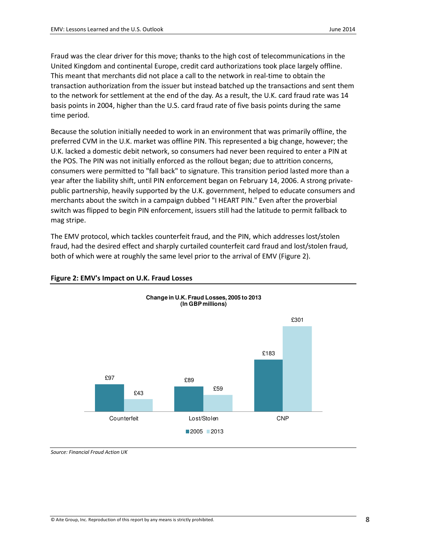Fraud was the clear driver for this move; thanks to the high cost of telecommunications in the United Kingdom and continental Europe, credit card authorizations took place largely offline. This meant that merchants did not place a call to the network in real-time to obtain the transaction authorization from the issuer but instead batched up the transactions and sent them to the network for settlement at the end of the day. As a result, the U.K. card fraud rate was 14 basis points in 2004, higher than the U.S. card fraud rate of five basis points during the same time period.

Because the solution initially needed to work in an environment that was primarily offline, the preferred CVM in the U.K. market was offline PIN. This represented a big change, however; the U.K. lacked a domestic debit network, so consumers had never been required to enter a PIN at the POS. The PIN was not initially enforced as the rollout began; due to attrition concerns, consumers were permitted to "fall back" to signature. This transition period lasted more than a year after the liability shift, until PIN enforcement began on February 14, 2006. A strong privatepublic partnership, heavily supported by the U.K. government, helped to educate consumers and merchants about the switch in a campaign dubbed "I HEART PIN." Even after the proverbial switch was flipped to begin PIN enforcement, issuers still had the latitude to permit fallback to mag stripe.

The EMV protocol, which tackles counterfeit fraud, and the PIN, which addresses lost/stolen fraud, had the desired effect and sharply curtailed counterfeit card fraud and lost/stolen fraud, both of which were at roughly the same level prior to the arrival of EMV (Figure 2).

**Change in U.K. Fraud Losses, 2005 to 2013** 



#### Figure 2: EMV's Impact on U.K. Fraud Losses

Source: Financial Fraud Action UK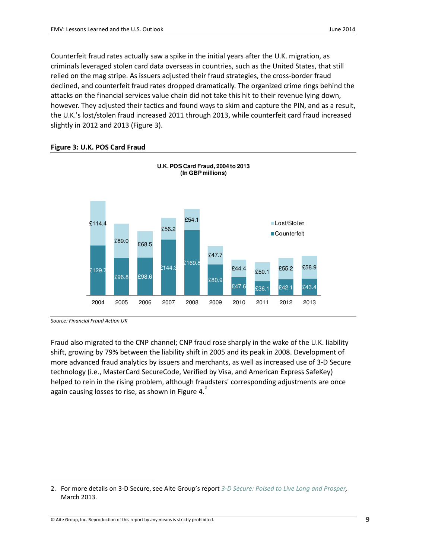Counterfeit fraud rates actually saw a spike in the initial years after the U.K. migration, as criminals leveraged stolen card data overseas in countries, such as the United States, that still relied on the mag stripe. As issuers adjusted their fraud strategies, the cross-border fraud declined, and counterfeit fraud rates dropped dramatically. The organized crime rings behind the attacks on the financial services value chain did not take this hit to their revenue lying down, however. They adjusted their tactics and found ways to skim and capture the PIN, and as a result, the U.K.'s lost/stolen fraud increased 2011 through 2013, while counterfeit card fraud increased slightly in 2012 and 2013 (Figure 3).



#### Figure 3: U.K. POS Card Fraud

Source: Financial Fraud Action UK

 $\overline{a}$ 

Fraud also migrated to the CNP channel; CNP fraud rose sharply in the wake of the U.K. liability shift, growing by 79% between the liability shift in 2005 and its peak in 2008. Development of more advanced fraud analytics by issuers and merchants, as well as increased use of 3-D Secure technology (i.e., MasterCard SecureCode, Verified by Visa, and American Express SafeKey) helped to rein in the rising problem, although fraudsters' corresponding adjustments are once again causing losses to rise, as shown in Figure 4. $^{2}$ 

<sup>2.</sup> For more details on 3-D Secure, see Aite Group's report 3-D Secure: Poised to Live Long and Prosper, March 2013.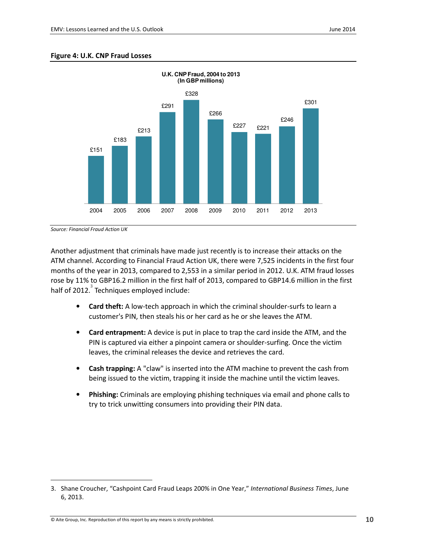#### Figure 4: U.K. CNP Fraud Losses



Source: Financial Fraud Action UK

 $\overline{a}$ 

Another adjustment that criminals have made just recently is to increase their attacks on the ATM channel. According to Financial Fraud Action UK, there were 7,525 incidents in the first four months of the year in 2013, compared to 2,553 in a similar period in 2012. U.K. ATM fraud losses rose by 11% to GBP16.2 million in the first half of 2013, compared to GBP14.6 million in the first half of 2012. $3$  Techniques employed include:

- Card theft: A low-tech approach in which the criminal shoulder-surfs to learn a customer's PIN, then steals his or her card as he or she leaves the ATM.
- Card entrapment: A device is put in place to trap the card inside the ATM, and the PIN is captured via either a pinpoint camera or shoulder-surfing. Once the victim leaves, the criminal releases the device and retrieves the card.
- Cash trapping: A "claw" is inserted into the ATM machine to prevent the cash from being issued to the victim, trapping it inside the machine until the victim leaves.
- Phishing: Criminals are employing phishing techniques via email and phone calls to try to trick unwitting consumers into providing their PIN data.

<sup>3.</sup> Shane Croucher, "Cashpoint Card Fraud Leaps 200% in One Year," International Business Times, June 6, 2013.

 $\heartsuit$  Aite Group, Inc. Reproduction of this report by any means is strictly prohibited.  $10$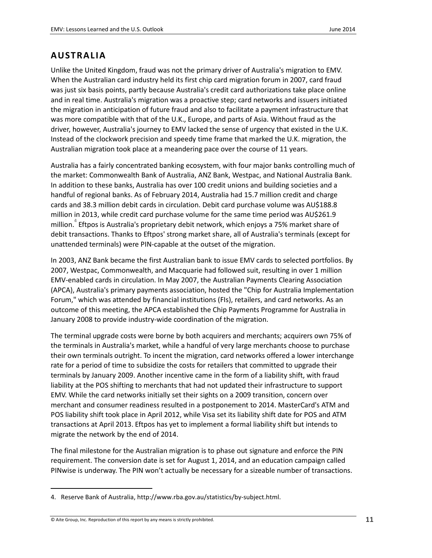### **AUSTRALIA**

Unlike the United Kingdom, fraud was not the primary driver of Australia's migration to EMV. When the Australian card industry held its first chip card migration forum in 2007, card fraud was just six basis points, partly because Australia's credit card authorizations take place online and in real time. Australia's migration was a proactive step; card networks and issuers initiated the migration in anticipation of future fraud and also to facilitate a payment infrastructure that was more compatible with that of the U.K., Europe, and parts of Asia. Without fraud as the driver, however, Australia's journey to EMV lacked the sense of urgency that existed in the U.K. Instead of the clockwork precision and speedy time frame that marked the U.K. migration, the Australian migration took place at a meandering pace over the course of 11 years.

Australia has a fairly concentrated banking ecosystem, with four major banks controlling much of the market: Commonwealth Bank of Australia, ANZ Bank, Westpac, and National Australia Bank. In addition to these banks, Australia has over 100 credit unions and building societies and a handful of regional banks. As of February 2014, Australia had 15.7 million credit and charge cards and 38.3 million debit cards in circulation. Debit card purchase volume was AU\$188.8 million in 2013, while credit card purchase volume for the same time period was AU\$261.9 million.<sup>4</sup> Eftpos is Australia's proprietary debit network, which enjoys a 75% market share of debit transactions. Thanks to Eftpos' strong market share, all of Australia's terminals (except for unattended terminals) were PIN-capable at the outset of the migration.

In 2003, ANZ Bank became the first Australian bank to issue EMV cards to selected portfolios. By 2007, Westpac, Commonwealth, and Macquarie had followed suit, resulting in over 1 million EMV-enabled cards in circulation. In May 2007, the Australian Payments Clearing Association (APCA), Australia's primary payments association, hosted the "Chip for Australia Implementation Forum," which was attended by financial institutions (FIs), retailers, and card networks. As an outcome of this meeting, the APCA established the Chip Payments Programme for Australia in January 2008 to provide industry-wide coordination of the migration.

The terminal upgrade costs were borne by both acquirers and merchants; acquirers own 75% of the terminals in Australia's market, while a handful of very large merchants choose to purchase their own terminals outright. To incent the migration, card networks offered a lower interchange rate for a period of time to subsidize the costs for retailers that committed to upgrade their terminals by January 2009. Another incentive came in the form of a liability shift, with fraud liability at the POS shifting to merchants that had not updated their infrastructure to support EMV. While the card networks initially set their sights on a 2009 transition, concern over merchant and consumer readiness resulted in a postponement to 2014. MasterCard's ATM and POS liability shift took place in April 2012, while Visa set its liability shift date for POS and ATM transactions at April 2013. Eftpos has yet to implement a formal liability shift but intends to migrate the network by the end of 2014.

The final milestone for the Australian migration is to phase out signature and enforce the PIN requirement. The conversion date is set for August 1, 2014, and an education campaign called PINwise is underway. The PIN won't actually be necessary for a sizeable number of transactions.

#### © Aite Group, Inc. Reproduction of this report by any means is strictly prohibited.  $11$

 $\overline{a}$ 

<sup>4.</sup> Reserve Bank of Australia, http://www.rba.gov.au/statistics/by-subject.html.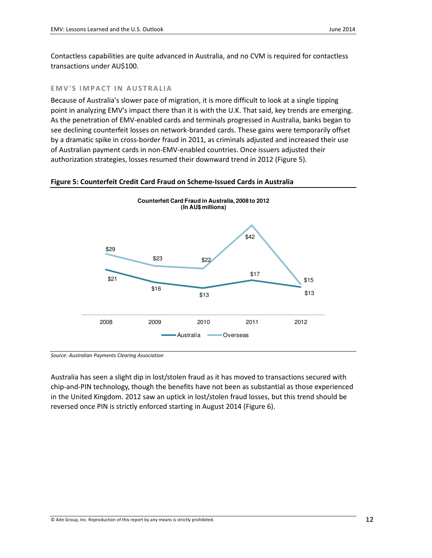Contactless capabilities are quite advanced in Australia, and no CVM is required for contactless transactions under AU\$100.

#### EMV'S IMPACT IN AUSTRALIA

Because of Australia's slower pace of migration, it is more difficult to look at a single tipping point in analyzing EMV's impact there than it is with the U.K. That said, key trends are emerging. As the penetration of EMV-enabled cards and terminals progressed in Australia, banks began to see declining counterfeit losses on network-branded cards. These gains were temporarily offset by a dramatic spike in cross-border fraud in 2011, as criminals adjusted and increased their use of Australian payment cards in non-EMV-enabled countries. Once issuers adjusted their authorization strategies, losses resumed their downward trend in 2012 (Figure 5).

#### Figure 5: Counterfeit Credit Card Fraud on Scheme-Issued Cards in Australia



Source: Australian Payments Clearing Association

Australia has seen a slight dip in lost/stolen fraud as it has moved to transactions secured with chip-and-PIN technology, though the benefits have not been as substantial as those experienced in the United Kingdom. 2012 saw an uptick in lost/stolen fraud losses, but this trend should be reversed once PIN is strictly enforced starting in August 2014 (Figure 6).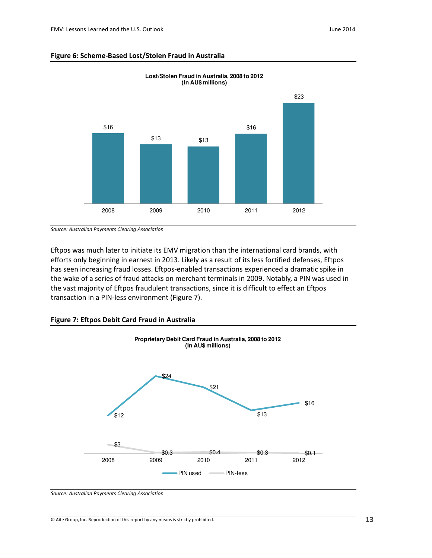#### Figure 6: Scheme-Based Lost/Stolen Fraud in Australia



**Lost/Stolen Fraud in Australia, 2008 to 2012 (In AU\$ millions)**

Source: Australian Payments Clearing Association

Eftpos was much later to initiate its EMV migration than the international card brands, with efforts only beginning in earnest in 2013. Likely as a result of its less fortified defenses, Eftpos has seen increasing fraud losses. Eftpos-enabled transactions experienced a dramatic spike in the wake of a series of fraud attacks on merchant terminals in 2009. Notably, a PIN was used in the vast majority of Eftpos fraudulent transactions, since it is difficult to effect an Eftpos transaction in a PIN-less environment (Figure 7).

#### Figure 7: Eftpos Debit Card Fraud in Australia



Source: Australian Payments Clearing Association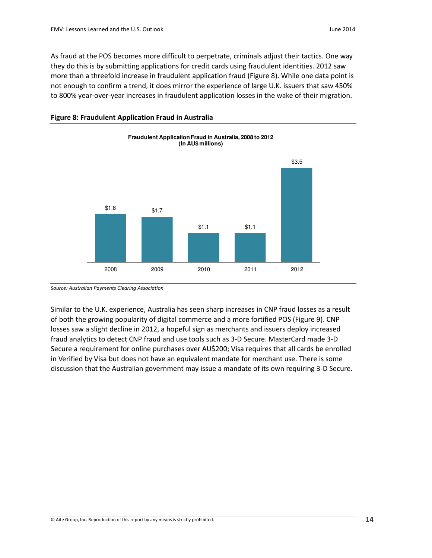As fraud at the POS becomes more difficult to perpetrate, criminals adjust their tactics. One way they do this is by submitting applications for credit cards using fraudulent identities. 2012 saw more than a threefold increase in fraudulent application fraud (Figure 8). While one data point is not enough to confirm a trend, it does mirror the experience of large U.K. issuers that saw 450% to 800% year-over-year increases in fraudulent application losses in the wake of their migration.



#### Figure 8: Fraudulent Application Fraud in Australia

Source: Australian Payments Clearing Association

Similar to the U.K. experience, Australia has seen sharp increases in CNP fraud losses as a result of both the growing popularity of digital commerce and a more fortified POS (Figure 9). CNP losses saw a slight decline in 2012, a hopeful sign as merchants and issuers deploy increased fraud analytics to detect CNP fraud and use tools such as 3-D Secure. MasterCard made 3-D Secure a requirement for online purchases over AU\$200; Visa requires that all cards be enrolled in Verified by Visa but does not have an equivalent mandate for merchant use. There is some discussion that the Australian government may issue a mandate of its own requiring 3-D Secure.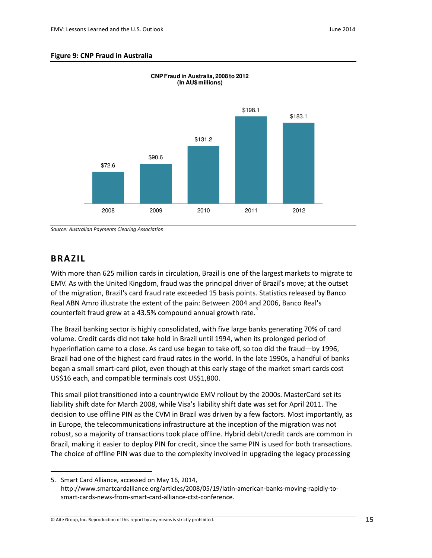#### Figure 9: CNP Fraud in Australia



**CNP Fraud in Australia, 2008 to 2012** 

Source: Australian Payments Clearing Association

### BRA ZIL

 $\overline{a}$ 

With more than 625 million cards in circulation, Brazil is one of the largest markets to migrate to EMV. As with the United Kingdom, fraud was the principal driver of Brazil's move; at the outset of the migration, Brazil's card fraud rate exceeded 15 basis points. Statistics released by Banco Real ABN Amro illustrate the extent of the pain: Between 2004 and 2006, Banco Real's counterfeit fraud grew at a 43.5% compound annual growth rate.

The Brazil banking sector is highly consolidated, with five large banks generating 70% of card volume. Credit cards did not take hold in Brazil until 1994, when its prolonged period of hyperinflation came to a close. As card use began to take off, so too did the fraud—by 1996, Brazil had one of the highest card fraud rates in the world. In the late 1990s, a handful of banks began a small smart-card pilot, even though at this early stage of the market smart cards cost US\$16 each, and compatible terminals cost US\$1,800.

This small pilot transitioned into a countrywide EMV rollout by the 2000s. MasterCard set its liability shift date for March 2008, while Visa's liability shift date was set for April 2011. The decision to use offline PIN as the CVM in Brazil was driven by a few factors. Most importantly, as in Europe, the telecommunications infrastructure at the inception of the migration was not robust, so a majority of transactions took place offline. Hybrid debit/credit cards are common in Brazil, making it easier to deploy PIN for credit, since the same PIN is used for both transactions. The choice of offline PIN was due to the complexity involved in upgrading the legacy processing

<sup>5.</sup> Smart Card Alliance, accessed on May 16, 2014, http://www.smartcardalliance.org/articles/2008/05/19/latin-american-banks-moving-rapidly-tosmart-cards-news-from-smart-card-alliance-ctst-conference.

 $\heartsuit$  Aite Group, Inc. Reproduction of this report by any means is strictly prohibited.  $15$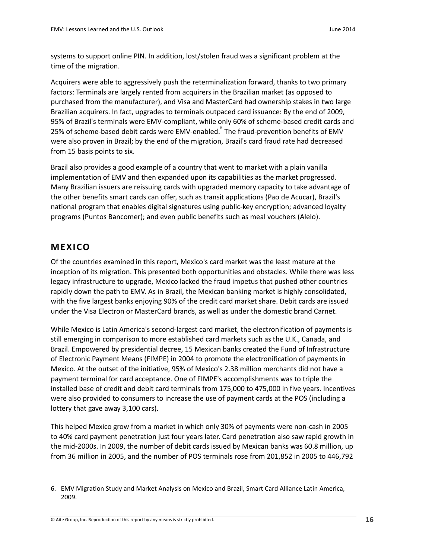systems to support online PIN. In addition, lost/stolen fraud was a significant problem at the time of the migration.

Acquirers were able to aggressively push the reterminalization forward, thanks to two primary factors: Terminals are largely rented from acquirers in the Brazilian market (as opposed to purchased from the manufacturer), and Visa and MasterCard had ownership stakes in two large Brazilian acquirers. In fact, upgrades to terminals outpaced card issuance: By the end of 2009, 95% of Brazil's terminals were EMV-compliant, while only 60% of scheme-based credit cards and 25% of scheme-based debit cards were EMV-enabled. The fraud-prevention benefits of EMV were also proven in Brazil; by the end of the migration, Brazil's card fraud rate had decreased from 15 basis points to six.

Brazil also provides a good example of a country that went to market with a plain vanilla implementation of EMV and then expanded upon its capabilities as the market progressed. Many Brazilian issuers are reissuing cards with upgraded memory capacity to take advantage of the other benefits smart cards can offer, such as transit applications (Pao de Acucar), Brazil's national program that enables digital signatures using public-key encryption; advanced loyalty programs (Puntos Bancomer); and even public benefits such as meal vouchers (Alelo).

### MEXICO

 $\overline{a}$ 

Of the countries examined in this report, Mexico's card market was the least mature at the inception of its migration. This presented both opportunities and obstacles. While there was less legacy infrastructure to upgrade, Mexico lacked the fraud impetus that pushed other countries rapidly down the path to EMV. As in Brazil, the Mexican banking market is highly consolidated, with the five largest banks enjoying 90% of the credit card market share. Debit cards are issued under the Visa Electron or MasterCard brands, as well as under the domestic brand Carnet.

While Mexico is Latin America's second-largest card market, the electronification of payments is still emerging in comparison to more established card markets such as the U.K., Canada, and Brazil. Empowered by presidential decree, 15 Mexican banks created the Fund of Infrastructure of Electronic Payment Means (FIMPE) in 2004 to promote the electronification of payments in Mexico. At the outset of the initiative, 95% of Mexico's 2.38 million merchants did not have a payment terminal for card acceptance. One of FIMPE's accomplishments was to triple the installed base of credit and debit card terminals from 175,000 to 475,000 in five years. Incentives were also provided to consumers to increase the use of payment cards at the POS (including a lottery that gave away 3,100 cars).

This helped Mexico grow from a market in which only 30% of payments were non-cash in 2005 to 40% card payment penetration just four years later. Card penetration also saw rapid growth in the mid-2000s. In 2009, the number of debit cards issued by Mexican banks was 60.8 million, up from 36 million in 2005, and the number of POS terminals rose from 201,852 in 2005 to 446,792

 $\circ$  Aite Group, Inc. Reproduction of this report by any means is strictly prohibited.  $16$ 

<sup>6.</sup> EMV Migration Study and Market Analysis on Mexico and Brazil, Smart Card Alliance Latin America, 2009.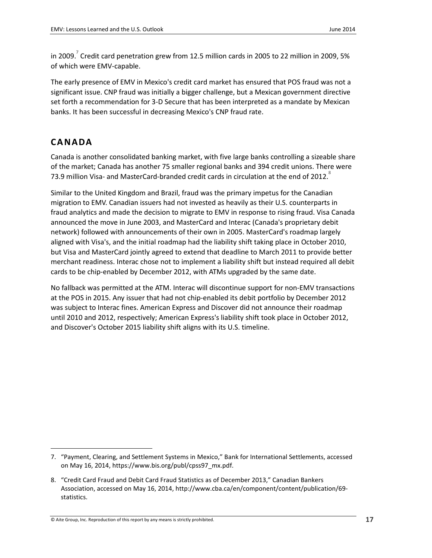in 2009.<sup>7</sup> Credit card penetration grew from 12.5 million cards in 2005 to 22 million in 2009, 5% of which were EMV-capable.

The early presence of EMV in Mexico's credit card market has ensured that POS fraud was not a significant issue. CNP fraud was initially a bigger challenge, but a Mexican government directive set forth a recommendation for 3-D Secure that has been interpreted as a mandate by Mexican banks. It has been successful in decreasing Mexico's CNP fraud rate.

## **CANADA**

 $\overline{a}$ 

Canada is another consolidated banking market, with five large banks controlling a sizeable share of the market; Canada has another 75 smaller regional banks and 394 credit unions. There were 73.9 million Visa- and MasterCard-branded credit cards in circulation at the end of 2012.<sup>8</sup>

Similar to the United Kingdom and Brazil, fraud was the primary impetus for the Canadian migration to EMV. Canadian issuers had not invested as heavily as their U.S. counterparts in fraud analytics and made the decision to migrate to EMV in response to rising fraud. Visa Canada announced the move in June 2003, and MasterCard and Interac (Canada's proprietary debit network) followed with announcements of their own in 2005. MasterCard's roadmap largely aligned with Visa's, and the initial roadmap had the liability shift taking place in October 2010, but Visa and MasterCard jointly agreed to extend that deadline to March 2011 to provide better merchant readiness. Interac chose not to implement a liability shift but instead required all debit cards to be chip-enabled by December 2012, with ATMs upgraded by the same date.

No fallback was permitted at the ATM. Interac will discontinue support for non-EMV transactions at the POS in 2015. Any issuer that had not chip-enabled its debit portfolio by December 2012 was subject to Interac fines. American Express and Discover did not announce their roadmap until 2010 and 2012, respectively; American Express's liability shift took place in October 2012, and Discover's October 2015 liability shift aligns with its U.S. timeline.

<sup>7.</sup> "Payment, Clearing, and Settlement Systems in Mexico," Bank for International Settlements, accessed on May 16, 2014, https://www.bis.org/publ/cpss97\_mx.pdf.

<sup>8.</sup> "Credit Card Fraud and Debit Card Fraud Statistics as of December 2013," Canadian Bankers Association, accessed on May 16, 2014, http://www.cba.ca/en/component/content/publication/69 statistics.

 $\circledcirc$  Aite Group, Inc. Reproduction of this report by any means is strictly prohibited.  $17$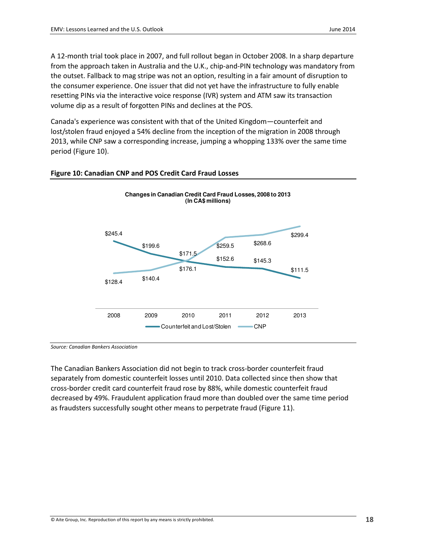A 12-month trial took place in 2007, and full rollout began in October 2008. In a sharp departure from the approach taken in Australia and the U.K., chip-and-PIN technology was mandatory from the outset. Fallback to mag stripe was not an option, resulting in a fair amount of disruption to the consumer experience. One issuer that did not yet have the infrastructure to fully enable resetting PINs via the interactive voice response (IVR) system and ATM saw its transaction volume dip as a result of forgotten PINs and declines at the POS.

Canada's experience was consistent with that of the United Kingdom—counterfeit and lost/stolen fraud enjoyed a 54% decline from the inception of the migration in 2008 through 2013, while CNP saw a corresponding increase, jumping a whopping 133% over the same time period (Figure 10).





Source: Canadian Bankers Association

The Canadian Bankers Association did not begin to track cross-border counterfeit fraud separately from domestic counterfeit losses until 2010. Data collected since then show that cross-border credit card counterfeit fraud rose by 88%, while domestic counterfeit fraud decreased by 49%. Fraudulent application fraud more than doubled over the same time period as fraudsters successfully sought other means to perpetrate fraud (Figure 11).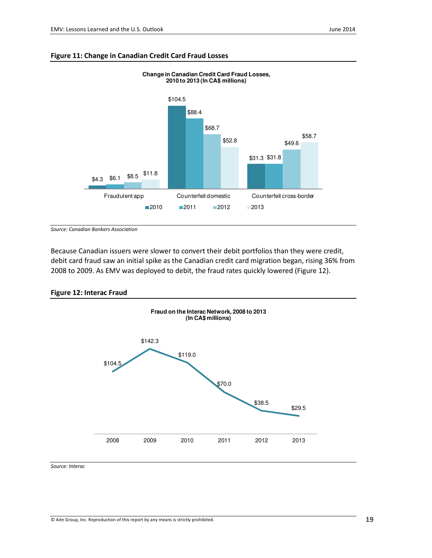

**Change in Canadian Credit Card Fraud Losses,** 

#### Figure 11: Change in Canadian Credit Card Fraud Losses

Source: Canadian Bankers Association

Because Canadian issuers were slower to convert their debit portfolios than they were credit, debit card fraud saw an initial spike as the Canadian credit card migration began, rising 36% from 2008 to 2009. As EMV was deployed to debit, the fraud rates quickly lowered (Figure 12).

#### Figure 12: Interac Fraud



Source: Interac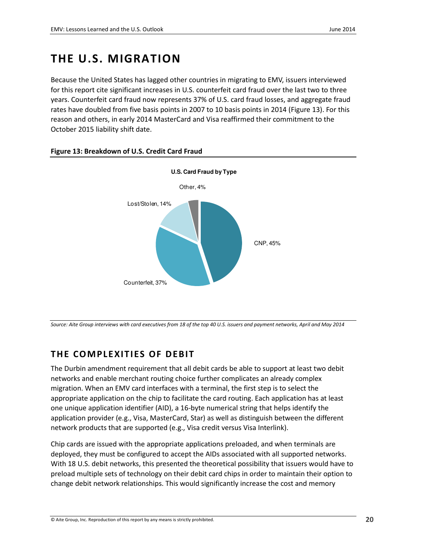## THE U.S. MIGRATION

Because the United States has lagged other countries in migrating to EMV, issuers interviewed for this report cite significant increases in U.S. counterfeit card fraud over the last two to three years. Counterfeit card fraud now represents 37% of U.S. card fraud losses, and aggregate fraud rates have doubled from five basis points in 2007 to 10 basis points in 2014 (Figure 13). For this reason and others, in early 2014 MasterCard and Visa reaffirmed their commitment to the October 2015 liability shift date.



#### Figure 13: Breakdown of U.S. Credit Card Fraud

Source: Aite Group interviews with card executives from 18 of the top 40 U.S. issuers and payment networks, April and May 2014

## THE COMPLEXITIES OF DEBIT

The Durbin amendment requirement that all debit cards be able to support at least two debit networks and enable merchant routing choice further complicates an already complex migration. When an EMV card interfaces with a terminal, the first step is to select the appropriate application on the chip to facilitate the card routing. Each application has at least one unique application identifier (AID), a 16-byte numerical string that helps identify the application provider (e.g., Visa, MasterCard, Star) as well as distinguish between the different network products that are supported (e.g., Visa credit versus Visa Interlink).

Chip cards are issued with the appropriate applications preloaded, and when terminals are deployed, they must be configured to accept the AIDs associated with all supported networks. With 18 U.S. debit networks, this presented the theoretical possibility that issuers would have to preload multiple sets of technology on their debit card chips in order to maintain their option to change debit network relationships. This would significantly increase the cost and memory

© Aite Group, Inc. Reproduction of this report by any means is strictly prohibited. 20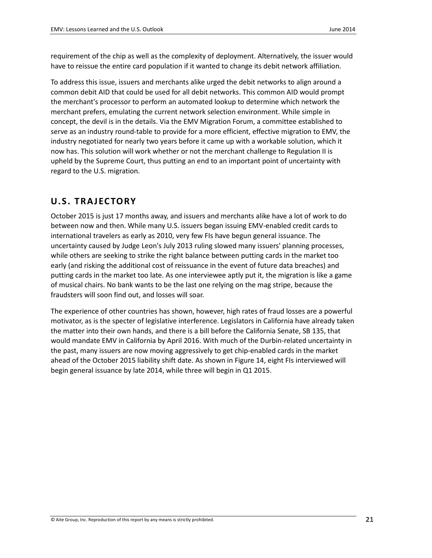requirement of the chip as well as the complexity of deployment. Alternatively, the issuer would have to reissue the entire card population if it wanted to change its debit network affiliation.

To address this issue, issuers and merchants alike urged the debit networks to align around a common debit AID that could be used for all debit networks. This common AID would prompt the merchant's processor to perform an automated lookup to determine which network the merchant prefers, emulating the current network selection environment. While simple in concept, the devil is in the details. Via the EMV Migration Forum, a committee established to serve as an industry round-table to provide for a more efficient, effective migration to EMV, the industry negotiated for nearly two years before it came up with a workable solution, which it now has. This solution will work whether or not the merchant challenge to Regulation II is upheld by the Supreme Court, thus putting an end to an important point of uncertainty with regard to the U.S. migration.

### U.S. TRAJECTORY

October 2015 is just 17 months away, and issuers and merchants alike have a lot of work to do between now and then. While many U.S. issuers began issuing EMV-enabled credit cards to international travelers as early as 2010, very few FIs have begun general issuance. The uncertainty caused by Judge Leon's July 2013 ruling slowed many issuers' planning processes, while others are seeking to strike the right balance between putting cards in the market too early (and risking the additional cost of reissuance in the event of future data breaches) and putting cards in the market too late. As one interviewee aptly put it, the migration is like a game of musical chairs. No bank wants to be the last one relying on the mag stripe, because the fraudsters will soon find out, and losses will soar.

The experience of other countries has shown, however, high rates of fraud losses are a powerful motivator, as is the specter of legislative interference. Legislators in California have already taken the matter into their own hands, and there is a bill before the California Senate, SB 135, that would mandate EMV in California by April 2016. With much of the Durbin-related uncertainty in the past, many issuers are now moving aggressively to get chip-enabled cards in the market ahead of the October 2015 liability shift date. As shown in Figure 14, eight FIs interviewed will begin general issuance by late 2014, while three will begin in Q1 2015.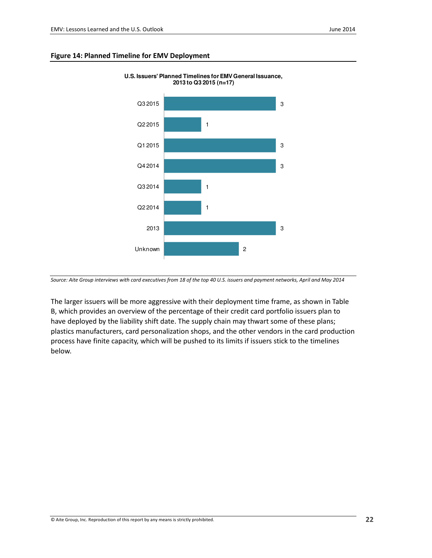#### Figure 14: Planned Timeline for EMV Deployment



**U.S. Issuers' Planned Timelines for EMV General Issuance, 2013 to Q3 2015 (n=17)**

Source: Aite Group interviews with card executives from 18 of the top 40 U.S. issuers and payment networks, April and May 2014

The larger issuers will be more aggressive with their deployment time frame, as shown in Table B, which provides an overview of the percentage of their credit card portfolio issuers plan to have deployed by the liability shift date. The supply chain may thwart some of these plans; plastics manufacturers, card personalization shops, and the other vendors in the card production process have finite capacity, which will be pushed to its limits if issuers stick to the timelines below.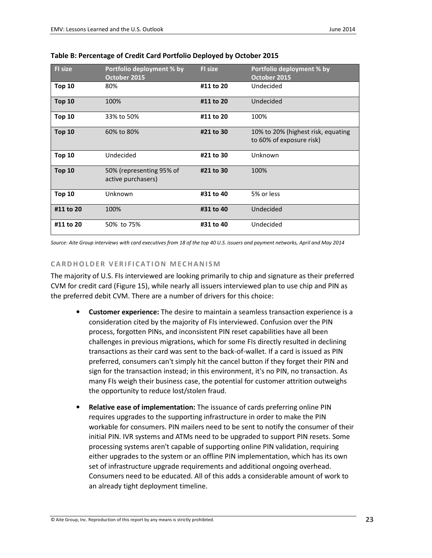| <b>FI</b> size | Portfolio deployment % by<br>October 2015      | <b>FI</b> size | Portfolio deployment % by<br>October 2015                      |
|----------------|------------------------------------------------|----------------|----------------------------------------------------------------|
| <b>Top 10</b>  | 80%                                            | #11 to 20      | Undecided                                                      |
| <b>Top 10</b>  | 100%                                           | #11 to 20      | Undecided                                                      |
| <b>Top 10</b>  | 33% to 50%                                     | #11 to 20      | 100%                                                           |
| <b>Top 10</b>  | 60% to 80%                                     | #21 to 30      | 10% to 20% (highest risk, equating<br>to 60% of exposure risk) |
| <b>Top 10</b>  | Undecided                                      | #21 to 30      | Unknown                                                        |
| <b>Top 10</b>  | 50% (representing 95% of<br>active purchasers) | #21 to 30      | 100%                                                           |
| <b>Top 10</b>  | Unknown                                        | #31 to 40      | 5% or less                                                     |
| #11 to 20      | 100%                                           | #31 to 40      | Undecided                                                      |
| #11 to 20      | 50% to 75%                                     | #31 to 40      | Undecided                                                      |

Table B: Percentage of Credit Card Portfolio Deployed by October 2015

Source: Aite Group interviews with card executives from 18 of the top 40 U.S. issuers and payment networks, April and May 2014

#### CARDHOLDER VERIFICATION MECHANISM

The majority of U.S. FIs interviewed are looking primarily to chip and signature as their preferred CVM for credit card (Figure 15), while nearly all issuers interviewed plan to use chip and PIN as the preferred debit CVM. There are a number of drivers for this choice:

- Customer experience: The desire to maintain a seamless transaction experience is a consideration cited by the majority of FIs interviewed. Confusion over the PIN process, forgotten PINs, and inconsistent PIN reset capabilities have all been challenges in previous migrations, which for some FIs directly resulted in declining transactions as their card was sent to the back-of-wallet. If a card is issued as PIN preferred, consumers can't simply hit the cancel button if they forget their PIN and sign for the transaction instead; in this environment, it's no PIN, no transaction. As many FIs weigh their business case, the potential for customer attrition outweighs the opportunity to reduce lost/stolen fraud.
- Relative ease of implementation: The issuance of cards preferring online PIN requires upgrades to the supporting infrastructure in order to make the PIN workable for consumers. PIN mailers need to be sent to notify the consumer of their initial PIN. IVR systems and ATMs need to be upgraded to support PIN resets. Some processing systems aren't capable of supporting online PIN validation, requiring either upgrades to the system or an offline PIN implementation, which has its own set of infrastructure upgrade requirements and additional ongoing overhead. Consumers need to be educated. All of this adds a considerable amount of work to an already tight deployment timeline.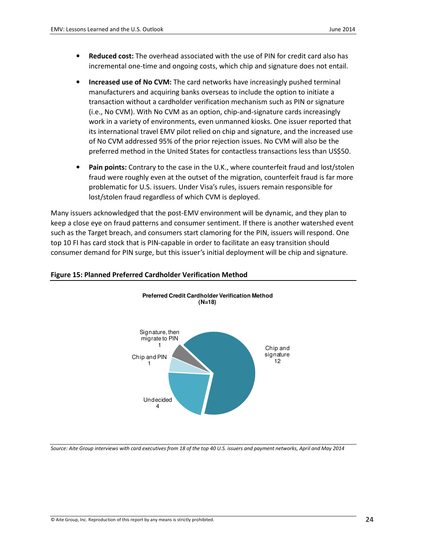- Reduced cost: The overhead associated with the use of PIN for credit card also has incremental one-time and ongoing costs, which chip and signature does not entail.
- Increased use of No CVM: The card networks have increasingly pushed terminal manufacturers and acquiring banks overseas to include the option to initiate a transaction without a cardholder verification mechanism such as PIN or signature (i.e., No CVM). With No CVM as an option, chip-and-signature cards increasingly work in a variety of environments, even unmanned kiosks. One issuer reported that its international travel EMV pilot relied on chip and signature, and the increased use of No CVM addressed 95% of the prior rejection issues. No CVM will also be the preferred method in the United States for contactless transactions less than US\$50.
- Pain points: Contrary to the case in the U.K., where counterfeit fraud and lost/stolen fraud were roughly even at the outset of the migration, counterfeit fraud is far more problematic for U.S. issuers. Under Visa's rules, issuers remain responsible for lost/stolen fraud regardless of which CVM is deployed.

Many issuers acknowledged that the post-EMV environment will be dynamic, and they plan to keep a close eye on fraud patterns and consumer sentiment. If there is another watershed event such as the Target breach, and consumers start clamoring for the PIN, issuers will respond. One top 10 FI has card stock that is PIN-capable in order to facilitate an easy transition should consumer demand for PIN surge, but this issuer's initial deployment will be chip and signature.

> **Preferred Credit Cardholder Verification Method (N=18)**



#### Figure 15: Planned Preferred Cardholder Verification Method

Source: Aite Group interviews with card executives from 18 of the top 40 U.S. issuers and payment networks, April and May 2014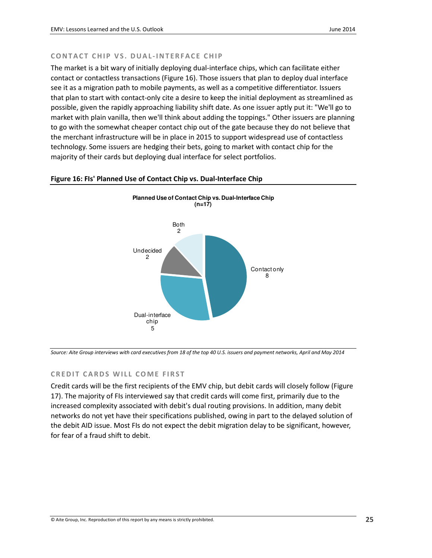#### CONTACT CHIP VS. DUAL-INTERFACE CHIP

The market is a bit wary of initially deploying dual-interface chips, which can facilitate either contact or contactless transactions (Figure 16). Those issuers that plan to deploy dual interface see it as a migration path to mobile payments, as well as a competitive differentiator. Issuers that plan to start with contact-only cite a desire to keep the initial deployment as streamlined as possible, given the rapidly approaching liability shift date. As one issuer aptly put it: "We'll go to market with plain vanilla, then we'll think about adding the toppings." Other issuers are planning to go with the somewhat cheaper contact chip out of the gate because they do not believe that the merchant infrastructure will be in place in 2015 to support widespread use of contactless technology. Some issuers are hedging their bets, going to market with contact chip for the majority of their cards but deploying dual interface for select portfolios.



#### Figure 16: FIs' Planned Use of Contact Chip vs. Dual-Interface Chip

Source: Aite Group interviews with card executives from 18 of the top 40 U.S. issuers and payment networks, April and May 2014

#### CREDIT CARDS WILL COME FIRST

Credit cards will be the first recipients of the EMV chip, but debit cards will closely follow (Figure 17). The majority of FIs interviewed say that credit cards will come first, primarily due to the increased complexity associated with debit's dual routing provisions. In addition, many debit networks do not yet have their specifications published, owing in part to the delayed solution of the debit AID issue. Most FIs do not expect the debit migration delay to be significant, however, for fear of a fraud shift to debit.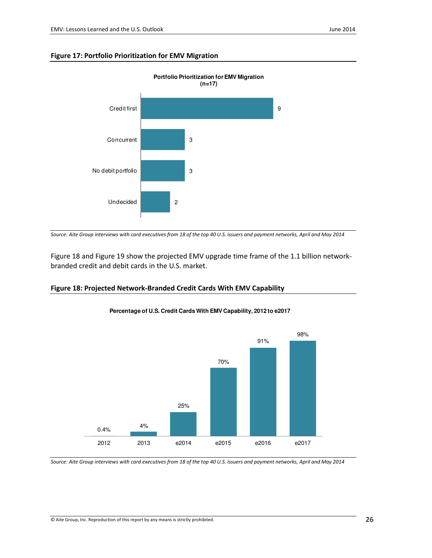#### Figure 17: Portfolio Prioritization for EMV Migration



Source: Aite Group interviews with card executives from 18 of the top 40 U.S. issuers and payment networks, April and May 2014

Figure 18 and Figure 19 show the projected EMV upgrade time frame of the 1.1 billion networkbranded credit and debit cards in the U.S. market.

#### Figure 18: Projected Network-Branded Credit Cards With EMV Capability



**Percentage of U.S. Credit Cards With EMV Capability, 2012 to e2017** 

Source: Aite Group interviews with card executives from 18 of the top 40 U.S. issuers and payment networks, April and May 2014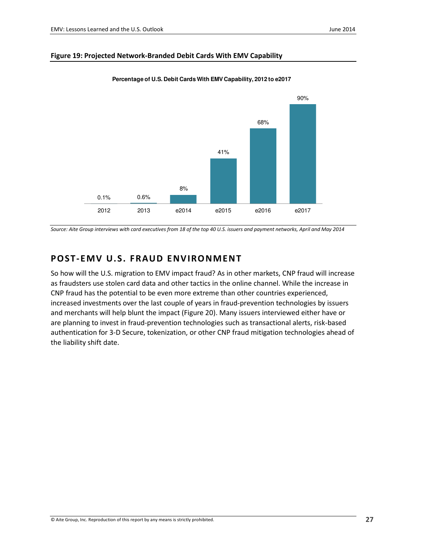#### Figure 19: Projected Network-Branded Debit Cards With EMV Capability



**Percentage of U.S. Debit Cards With EMV Capability, 2012 to e2017**

### POST-EMV U.S. FRAUD ENVIRONMENT

So how will the U.S. migration to EMV impact fraud? As in other markets, CNP fraud will increase as fraudsters use stolen card data and other tactics in the online channel. While the increase in CNP fraud has the potential to be even more extreme than other countries experienced, increased investments over the last couple of years in fraud-prevention technologies by issuers and merchants will help blunt the impact (Figure 20). Many issuers interviewed either have or are planning to invest in fraud-prevention technologies such as transactional alerts, risk-based authentication for 3-D Secure, tokenization, or other CNP fraud mitigation technologies ahead of the liability shift date.

Source: Aite Group interviews with card executives from 18 of the top 40 U.S. issuers and payment networks, April and May 2014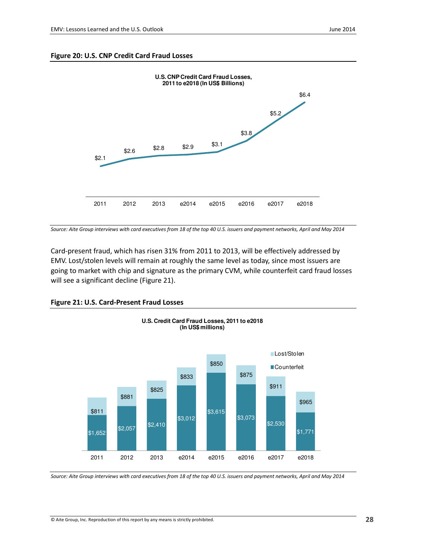#### Figure 20: U.S. CNP Credit Card Fraud Losses



Source: Aite Group interviews with card executives from 18 of the top 40 U.S. issuers and payment networks, April and May 2014

Card-present fraud, which has risen 31% from 2011 to 2013, will be effectively addressed by EMV. Lost/stolen levels will remain at roughly the same level as today, since most issuers are going to market with chip and signature as the primary CVM, while counterfeit card fraud losses will see a significant decline (Figure 21).





Source: Aite Group interviews with card executives from 18 of the top 40 U.S. issuers and payment networks, April and May 2014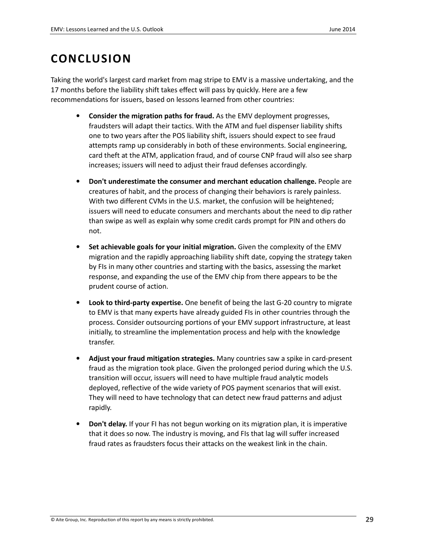## **CONCLUSION**

Taking the world's largest card market from mag stripe to EMV is a massive undertaking, and the 17 months before the liability shift takes effect will pass by quickly. Here are a few recommendations for issuers, based on lessons learned from other countries:

- Consider the migration paths for fraud. As the EMV deployment progresses, fraudsters will adapt their tactics. With the ATM and fuel dispenser liability shifts one to two years after the POS liability shift, issuers should expect to see fraud attempts ramp up considerably in both of these environments. Social engineering, card theft at the ATM, application fraud, and of course CNP fraud will also see sharp increases; issuers will need to adjust their fraud defenses accordingly.
- Don't underestimate the consumer and merchant education challenge. People are creatures of habit, and the process of changing their behaviors is rarely painless. With two different CVMs in the U.S. market, the confusion will be heightened; issuers will need to educate consumers and merchants about the need to dip rather than swipe as well as explain why some credit cards prompt for PIN and others do not.
- Set achievable goals for your initial migration. Given the complexity of the EMV migration and the rapidly approaching liability shift date, copying the strategy taken by FIs in many other countries and starting with the basics, assessing the market response, and expanding the use of the EMV chip from there appears to be the prudent course of action.
- **Look to third-party expertise.** One benefit of being the last G-20 country to migrate to EMV is that many experts have already guided FIs in other countries through the process. Consider outsourcing portions of your EMV support infrastructure, at least initially, to streamline the implementation process and help with the knowledge transfer.
- Adjust your fraud mitigation strategies. Many countries saw a spike in card-present fraud as the migration took place. Given the prolonged period during which the U.S. transition will occur, issuers will need to have multiple fraud analytic models deployed, reflective of the wide variety of POS payment scenarios that will exist. They will need to have technology that can detect new fraud patterns and adjust rapidly.
- **Don't delay.** If your FI has not begun working on its migration plan, it is imperative that it does so now. The industry is moving, and FIs that lag will suffer increased fraud rates as fraudsters focus their attacks on the weakest link in the chain.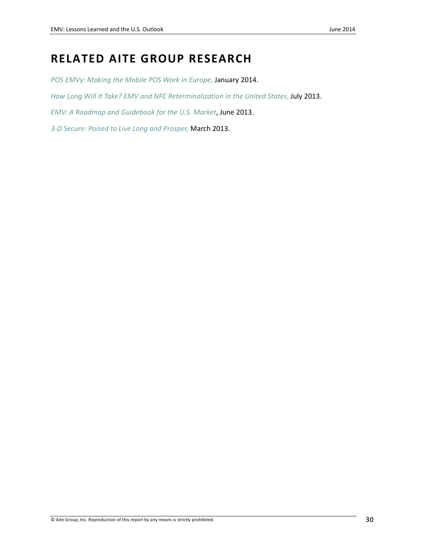## RELATED AITE GROUP RESEARCH

POS EMVy: Making the Mobile POS Work in Europe, January 2014.

How Long Will It Take? EMV and NFC Reterminalization in the United States, July 2013.

EMV: A Roadmap and Guidebook for the U.S. Market, June 2013.

3-D Secure: Poised to Live Long and Prosper, March 2013.